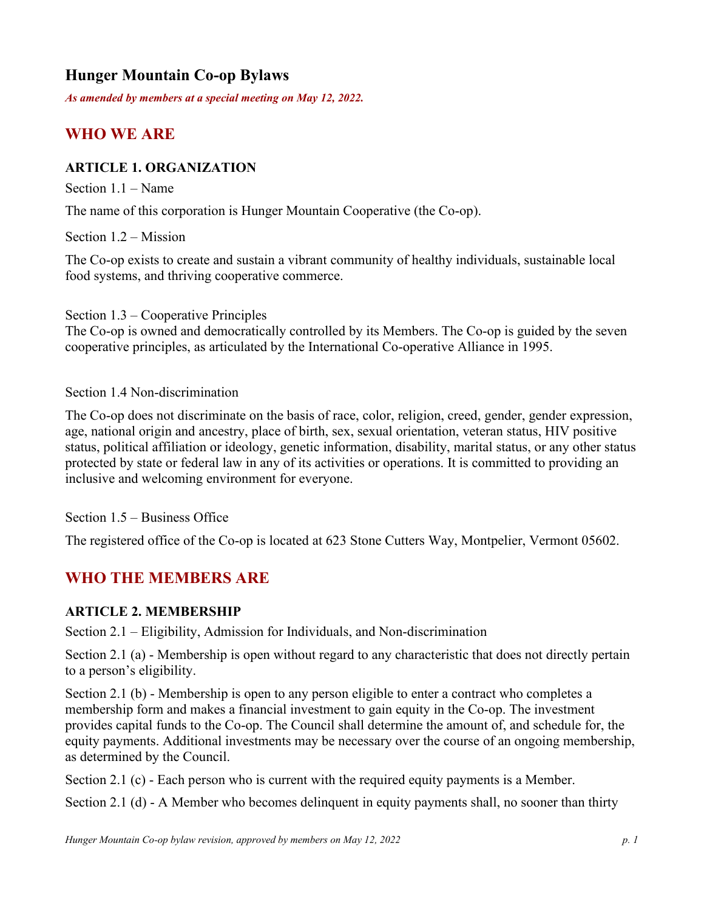# **Hunger Mountain Co-op Bylaws**

*As amended by members at a special meeting on May 12, 2022.*

# **WHO WE ARE**

#### **ARTICLE 1. ORGANIZATION**

Section 1.1 – Name

The name of this corporation is Hunger Mountain Cooperative (the Co-op).

Section 1.2 – Mission

The Co-op exists to create and sustain a vibrant community of healthy individuals, sustainable local food systems, and thriving cooperative commerce.

Section 1.3 – Cooperative Principles

The Co-op is owned and democratically controlled by its Members. The Co-op is guided by the seven cooperative principles, as articulated by the International Co-operative Alliance in 1995.

Section 1.4 Non-discrimination

The Co-op does not discriminate on the basis of race, color, religion, creed, gender, gender expression, age, national origin and ancestry, place of birth, sex, sexual orientation, veteran status, HIV positive status, political affiliation or ideology, genetic information, disability, marital status, or any other status protected by state or federal law in any of its activities or operations. It is committed to providing an inclusive and welcoming environment for everyone.

Section 1.5 – Business Office

The registered office of the Co-op is located at 623 Stone Cutters Way, Montpelier, Vermont 05602.

# **WHO THE MEMBERS ARE**

#### **ARTICLE 2. MEMBERSHIP**

Section 2.1 – Eligibility, Admission for Individuals, and Non-discrimination

Section 2.1 (a) - Membership is open without regard to any characteristic that does not directly pertain to a person's eligibility.

Section 2.1 (b) - Membership is open to any person eligible to enter a contract who completes a membership form and makes a financial investment to gain equity in the Co-op. The investment provides capital funds to the Co-op. The Council shall determine the amount of, and schedule for, the equity payments. Additional investments may be necessary over the course of an ongoing membership, as determined by the Council.

Section 2.1 (c) - Each person who is current with the required equity payments is a Member.

Section 2.1 (d) - A Member who becomes delinquent in equity payments shall, no sooner than thirty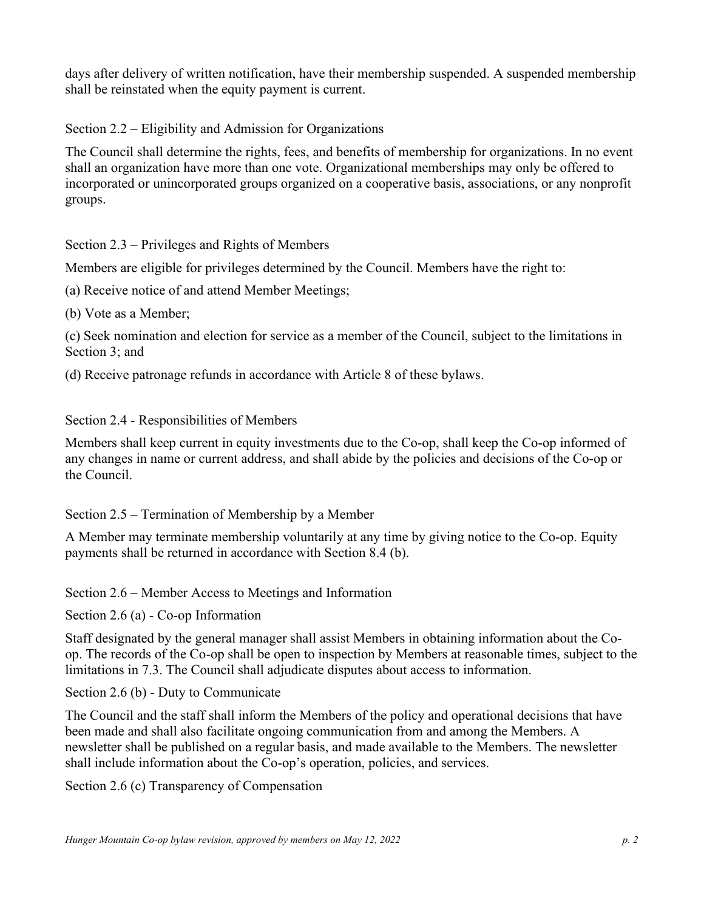days after delivery of written notification, have their membership suspended. A suspended membership shall be reinstated when the equity payment is current.

Section 2.2 – Eligibility and Admission for Organizations

The Council shall determine the rights, fees, and benefits of membership for organizations. In no event shall an organization have more than one vote. Organizational memberships may only be offered to incorporated or unincorporated groups organized on a cooperative basis, associations, or any nonprofit groups.

Section 2.3 – Privileges and Rights of Members

Members are eligible for privileges determined by the Council. Members have the right to:

(a) Receive notice of and attend Member Meetings;

(b) Vote as a Member;

(c) Seek nomination and election for service as a member of the Council, subject to the limitations in Section 3; and

(d) Receive patronage refunds in accordance with Article 8 of these bylaws.

### Section 2.4 - Responsibilities of Members

Members shall keep current in equity investments due to the Co-op, shall keep the Co-op informed of any changes in name or current address, and shall abide by the policies and decisions of the Co-op or the Council.

Section 2.5 – Termination of Membership by a Member

A Member may terminate membership voluntarily at any time by giving notice to the Co-op. Equity payments shall be returned in accordance with Section 8.4 (b).

Section 2.6 – Member Access to Meetings and Information

Section 2.6 (a) - Co-op Information

Staff designated by the general manager shall assist Members in obtaining information about the Coop. The records of the Co-op shall be open to inspection by Members at reasonable times, subject to the limitations in 7.3. The Council shall adjudicate disputes about access to information.

Section 2.6 (b) - Duty to Communicate

The Council and the staff shall inform the Members of the policy and operational decisions that have been made and shall also facilitate ongoing communication from and among the Members. A newsletter shall be published on a regular basis, and made available to the Members. The newsletter shall include information about the Co-op's operation, policies, and services.

Section 2.6 (c) Transparency of Compensation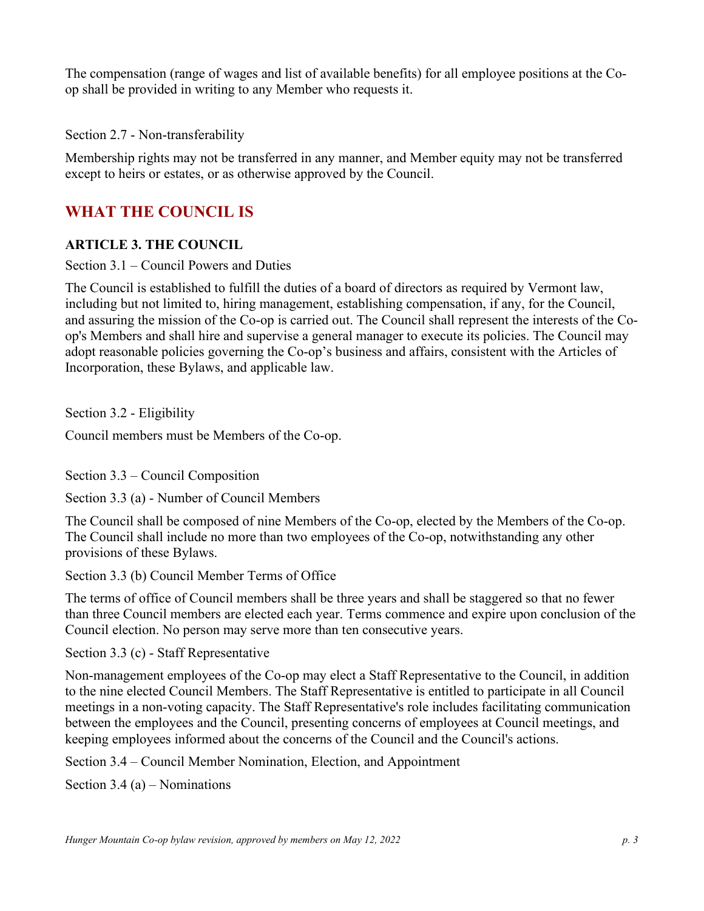The compensation (range of wages and list of available benefits) for all employee positions at the Coop shall be provided in writing to any Member who requests it.

Section 2.7 - Non-transferability

Membership rights may not be transferred in any manner, and Member equity may not be transferred except to heirs or estates, or as otherwise approved by the Council.

# **WHAT THE COUNCIL IS**

### **ARTICLE 3. THE COUNCIL**

Section 3.1 – Council Powers and Duties

The Council is established to fulfill the duties of a board of directors as required by Vermont law, including but not limited to, hiring management, establishing compensation, if any, for the Council, and assuring the mission of the Co-op is carried out. The Council shall represent the interests of the Coop's Members and shall hire and supervise a general manager to execute its policies. The Council may adopt reasonable policies governing the Co-op's business and affairs, consistent with the Articles of Incorporation, these Bylaws, and applicable law.

Section 3.2 - Eligibility

Council members must be Members of the Co-op.

Section 3.3 – Council Composition

Section 3.3 (a) - Number of Council Members

The Council shall be composed of nine Members of the Co-op, elected by the Members of the Co-op. The Council shall include no more than two employees of the Co-op, notwithstanding any other provisions of these Bylaws.

Section 3.3 (b) Council Member Terms of Office

The terms of office of Council members shall be three years and shall be staggered so that no fewer than three Council members are elected each year. Terms commence and expire upon conclusion of the Council election. No person may serve more than ten consecutive years.

Section 3.3 (c) - Staff Representative

Non-management employees of the Co-op may elect a Staff Representative to the Council, in addition to the nine elected Council Members. The Staff Representative is entitled to participate in all Council meetings in a non-voting capacity. The Staff Representative's role includes facilitating communication between the employees and the Council, presenting concerns of employees at Council meetings, and keeping employees informed about the concerns of the Council and the Council's actions.

Section 3.4 – Council Member Nomination, Election, and Appointment

Section  $3.4$  (a) – Nominations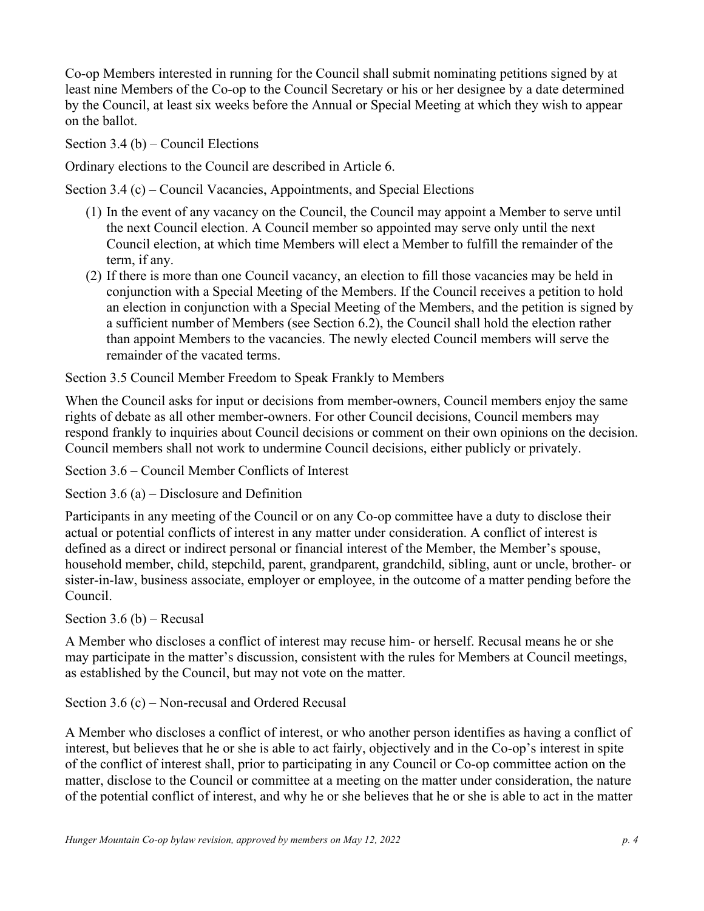Co-op Members interested in running for the Council shall submit nominating petitions signed by at least nine Members of the Co-op to the Council Secretary or his or her designee by a date determined by the Council, at least six weeks before the Annual or Special Meeting at which they wish to appear on the ballot.

Section 3.4 (b) – Council Elections

Ordinary elections to the Council are described in Article 6.

Section 3.4 (c) – Council Vacancies, Appointments, and Special Elections

- (1) In the event of any vacancy on the Council, the Council may appoint a Member to serve until the next Council election. A Council member so appointed may serve only until the next Council election, at which time Members will elect a Member to fulfill the remainder of the term, if any.
- (2) If there is more than one Council vacancy, an election to fill those vacancies may be held in conjunction with a Special Meeting of the Members. If the Council receives a petition to hold an election in conjunction with a Special Meeting of the Members, and the petition is signed by a sufficient number of Members (see Section 6.2), the Council shall hold the election rather than appoint Members to the vacancies. The newly elected Council members will serve the remainder of the vacated terms.

Section 3.5 Council Member Freedom to Speak Frankly to Members

When the Council asks for input or decisions from member-owners, Council members enjoy the same rights of debate as all other member-owners. For other Council decisions, Council members may respond frankly to inquiries about Council decisions or comment on their own opinions on the decision. Council members shall not work to undermine Council decisions, either publicly or privately.

Section 3.6 – Council Member Conflicts of Interest

Section 3.6 (a) – Disclosure and Definition

Participants in any meeting of the Council or on any Co-op committee have a duty to disclose their actual or potential conflicts of interest in any matter under consideration. A conflict of interest is defined as a direct or indirect personal or financial interest of the Member, the Member's spouse, household member, child, stepchild, parent, grandparent, grandchild, sibling, aunt or uncle, brother- or sister-in-law, business associate, employer or employee, in the outcome of a matter pending before the Council.

Section 3.6 (b) – Recusal

A Member who discloses a conflict of interest may recuse him- or herself. Recusal means he or she may participate in the matter's discussion, consistent with the rules for Members at Council meetings, as established by the Council, but may not vote on the matter.

Section 3.6 (c) – Non-recusal and Ordered Recusal

A Member who discloses a conflict of interest, or who another person identifies as having a conflict of interest, but believes that he or she is able to act fairly, objectively and in the Co-op's interest in spite of the conflict of interest shall, prior to participating in any Council or Co-op committee action on the matter, disclose to the Council or committee at a meeting on the matter under consideration, the nature of the potential conflict of interest, and why he or she believes that he or she is able to act in the matter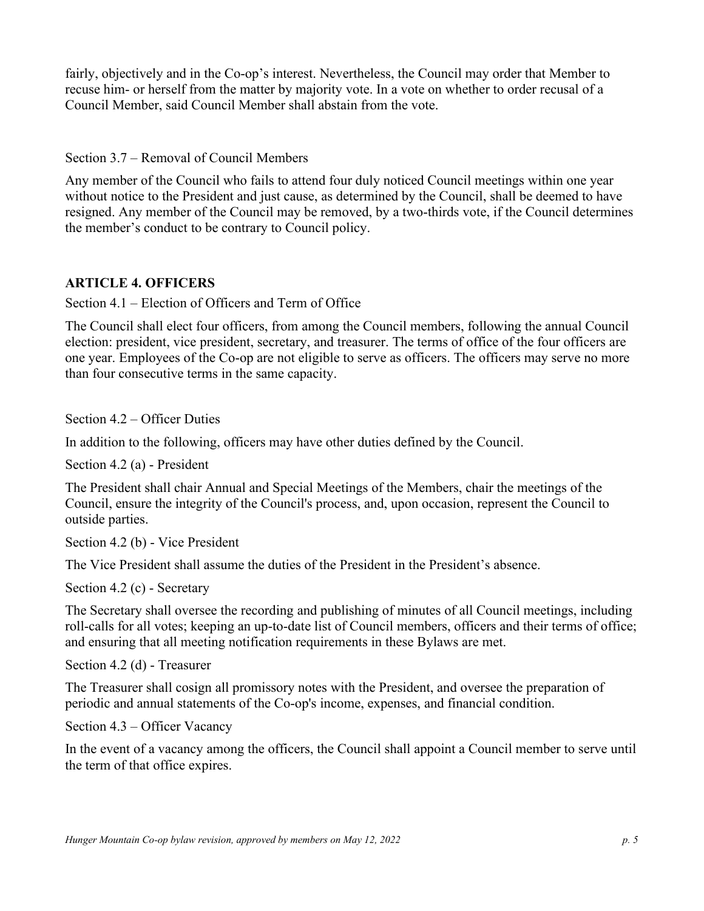fairly, objectively and in the Co-op's interest. Nevertheless, the Council may order that Member to recuse him- or herself from the matter by majority vote. In a vote on whether to order recusal of a Council Member, said Council Member shall abstain from the vote.

### Section 3.7 – Removal of Council Members

Any member of the Council who fails to attend four duly noticed Council meetings within one year without notice to the President and just cause, as determined by the Council, shall be deemed to have resigned. Any member of the Council may be removed, by a two-thirds vote, if the Council determines the member's conduct to be contrary to Council policy.

# **ARTICLE 4. OFFICERS**

Section 4.1 – Election of Officers and Term of Office

The Council shall elect four officers, from among the Council members, following the annual Council election: president, vice president, secretary, and treasurer. The terms of office of the four officers are one year. Employees of the Co-op are not eligible to serve as officers. The officers may serve no more than four consecutive terms in the same capacity.

Section 4.2 – Officer Duties

In addition to the following, officers may have other duties defined by the Council.

Section 4.2 (a) - President

The President shall chair Annual and Special Meetings of the Members, chair the meetings of the Council, ensure the integrity of the Council's process, and, upon occasion, represent the Council to outside parties.

Section 4.2 (b) - Vice President

The Vice President shall assume the duties of the President in the President's absence.

Section 4.2 (c) - Secretary

The Secretary shall oversee the recording and publishing of minutes of all Council meetings, including roll-calls for all votes; keeping an up-to-date list of Council members, officers and their terms of office; and ensuring that all meeting notification requirements in these Bylaws are met.

Section 4.2 (d) - Treasurer

The Treasurer shall cosign all promissory notes with the President, and oversee the preparation of periodic and annual statements of the Co-op's income, expenses, and financial condition.

Section 4.3 – Officer Vacancy

In the event of a vacancy among the officers, the Council shall appoint a Council member to serve until the term of that office expires.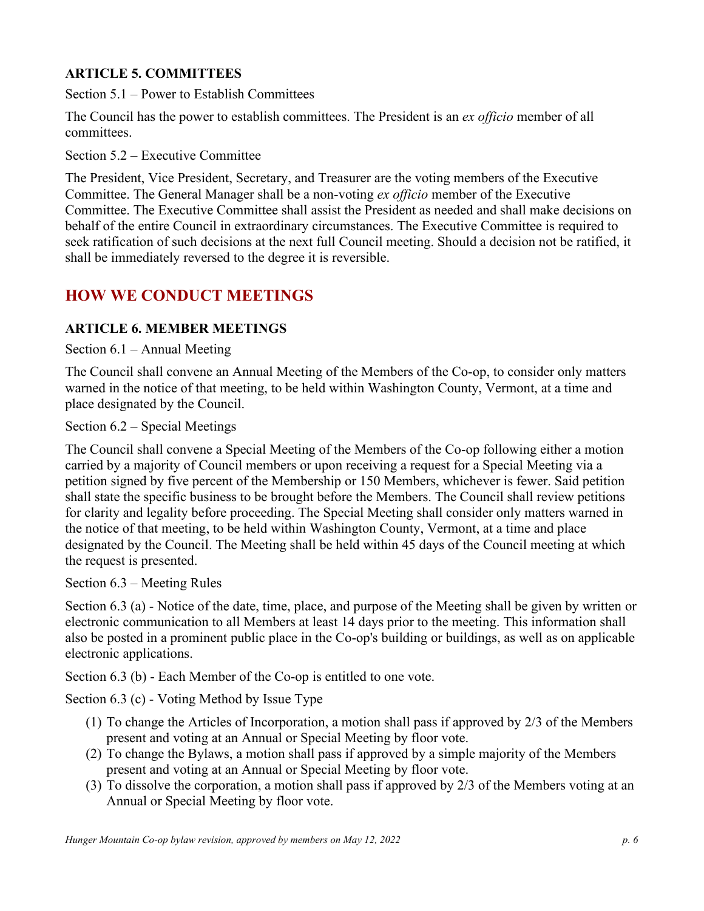## **ARTICLE 5. COMMITTEES**

Section 5.1 – Power to Establish Committees

The Council has the power to establish committees. The President is an *ex officio* member of all committees.

Section 5.2 – Executive Committee

The President, Vice President, Secretary, and Treasurer are the voting members of the Executive Committee. The General Manager shall be a non-voting *ex officio* member of the Executive Committee. The Executive Committee shall assist the President as needed and shall make decisions on behalf of the entire Council in extraordinary circumstances. The Executive Committee is required to seek ratification of such decisions at the next full Council meeting. Should a decision not be ratified, it shall be immediately reversed to the degree it is reversible.

# **HOW WE CONDUCT MEETINGS**

### **ARTICLE 6. MEMBER MEETINGS**

Section 6.1 – Annual Meeting

The Council shall convene an Annual Meeting of the Members of the Co-op, to consider only matters warned in the notice of that meeting, to be held within Washington County, Vermont, at a time and place designated by the Council.

#### Section 6.2 – Special Meetings

The Council shall convene a Special Meeting of the Members of the Co-op following either a motion carried by a majority of Council members or upon receiving a request for a Special Meeting via a petition signed by five percent of the Membership or 150 Members, whichever is fewer. Said petition shall state the specific business to be brought before the Members. The Council shall review petitions for clarity and legality before proceeding. The Special Meeting shall consider only matters warned in the notice of that meeting, to be held within Washington County, Vermont, at a time and place designated by the Council. The Meeting shall be held within 45 days of the Council meeting at which the request is presented.

Section 6.3 – Meeting Rules

Section 6.3 (a) - Notice of the date, time, place, and purpose of the Meeting shall be given by written or electronic communication to all Members at least 14 days prior to the meeting. This information shall also be posted in a prominent public place in the Co-op's building or buildings, as well as on applicable electronic applications.

Section 6.3 (b) - Each Member of the Co-op is entitled to one vote.

Section 6.3 (c) - Voting Method by Issue Type

- (1) To change the Articles of Incorporation, a motion shall pass if approved by 2/3 of the Members present and voting at an Annual or Special Meeting by floor vote.
- (2) To change the Bylaws, a motion shall pass if approved by a simple majority of the Members present and voting at an Annual or Special Meeting by floor vote.
- (3) To dissolve the corporation, a motion shall pass if approved by 2/3 of the Members voting at an Annual or Special Meeting by floor vote.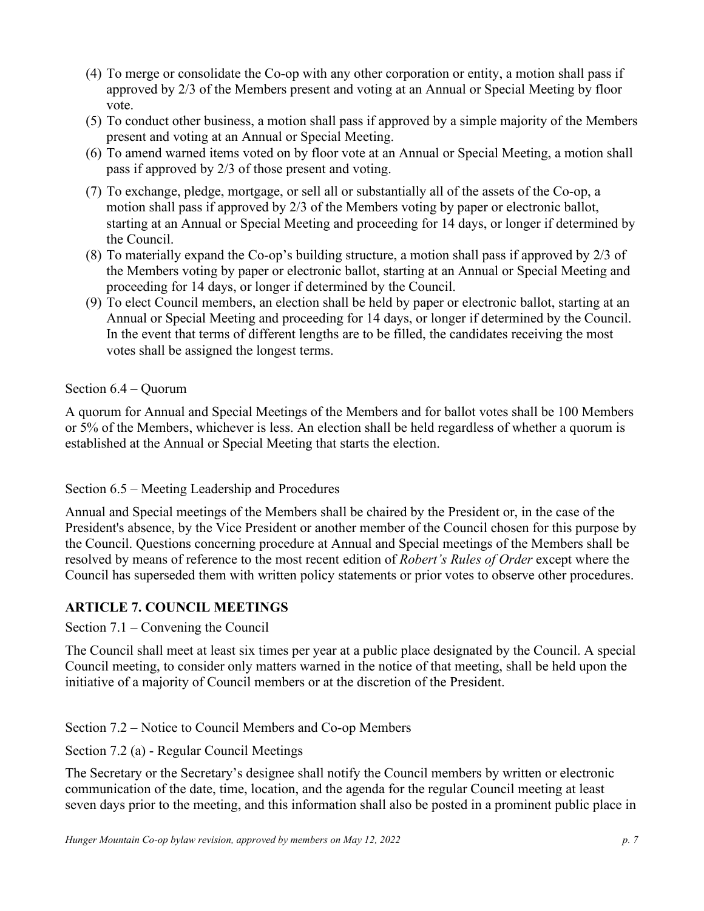- (4) To merge or consolidate the Co-op with any other corporation or entity, a motion shall pass if approved by 2/3 of the Members present and voting at an Annual or Special Meeting by floor vote.
- (5) To conduct other business, a motion shall pass if approved by a simple majority of the Members present and voting at an Annual or Special Meeting.
- (6) To amend warned items voted on by floor vote at an Annual or Special Meeting, a motion shall pass if approved by 2/3 of those present and voting.
- (7) To exchange, pledge, mortgage, or sell all or substantially all of the assets of the Co-op, a motion shall pass if approved by 2/3 of the Members voting by paper or electronic ballot, starting at an Annual or Special Meeting and proceeding for 14 days, or longer if determined by the Council.
- (8) To materially expand the Co-op's building structure, a motion shall pass if approved by 2/3 of the Members voting by paper or electronic ballot, starting at an Annual or Special Meeting and proceeding for 14 days, or longer if determined by the Council.
- (9) To elect Council members, an election shall be held by paper or electronic ballot, starting at an Annual or Special Meeting and proceeding for 14 days, or longer if determined by the Council. In the event that terms of different lengths are to be filled, the candidates receiving the most votes shall be assigned the longest terms.

#### Section 6.4 – Quorum

A quorum for Annual and Special Meetings of the Members and for ballot votes shall be 100 Members or 5% of the Members, whichever is less. An election shall be held regardless of whether a quorum is established at the Annual or Special Meeting that starts the election.

Section 6.5 – Meeting Leadership and Procedures

Annual and Special meetings of the Members shall be chaired by the President or, in the case of the President's absence, by the Vice President or another member of the Council chosen for this purpose by the Council. Questions concerning procedure at Annual and Special meetings of the Members shall be resolved by means of reference to the most recent edition of *Robert's Rules of Order* except where the Council has superseded them with written policy statements or prior votes to observe other procedures.

#### **ARTICLE 7. COUNCIL MEETINGS**

Section 7.1 – Convening the Council

The Council shall meet at least six times per year at a public place designated by the Council. A special Council meeting, to consider only matters warned in the notice of that meeting, shall be held upon the initiative of a majority of Council members or at the discretion of the President.

Section 7.2 – Notice to Council Members and Co-op Members

Section 7.2 (a) - Regular Council Meetings

The Secretary or the Secretary's designee shall notify the Council members by written or electronic communication of the date, time, location, and the agenda for the regular Council meeting at least seven days prior to the meeting, and this information shall also be posted in a prominent public place in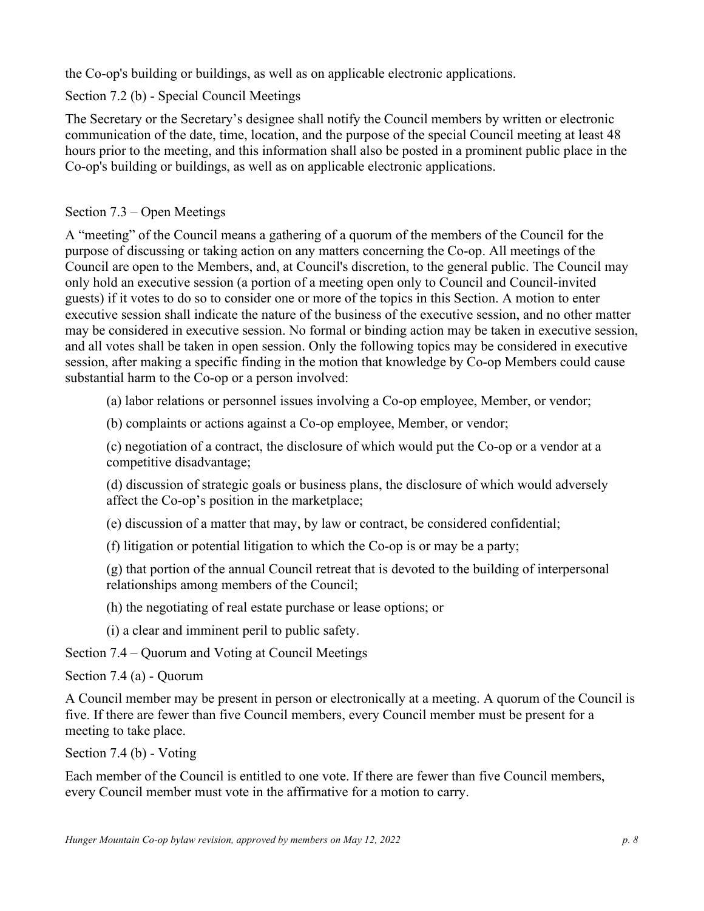the Co-op's building or buildings, as well as on applicable electronic applications.

Section 7.2 (b) - Special Council Meetings

The Secretary or the Secretary's designee shall notify the Council members by written or electronic communication of the date, time, location, and the purpose of the special Council meeting at least 48 hours prior to the meeting, and this information shall also be posted in a prominent public place in the Co-op's building or buildings, as well as on applicable electronic applications.

# Section 7.3 – Open Meetings

A "meeting" of the Council means a gathering of a quorum of the members of the Council for the purpose of discussing or taking action on any matters concerning the Co-op. All meetings of the Council are open to the Members, and, at Council's discretion, to the general public. The Council may only hold an executive session (a portion of a meeting open only to Council and Council-invited guests) if it votes to do so to consider one or more of the topics in this Section. A motion to enter executive session shall indicate the nature of the business of the executive session, and no other matter may be considered in executive session. No formal or binding action may be taken in executive session, and all votes shall be taken in open session. Only the following topics may be considered in executive session, after making a specific finding in the motion that knowledge by Co-op Members could cause substantial harm to the Co-op or a person involved:

(a) labor relations or personnel issues involving a Co-op employee, Member, or vendor;

(b) complaints or actions against a Co-op employee, Member, or vendor;

(c) negotiation of a contract, the disclosure of which would put the Co-op or a vendor at a competitive disadvantage;

(d) discussion of strategic goals or business plans, the disclosure of which would adversely affect the Co-op's position in the marketplace;

(e) discussion of a matter that may, by law or contract, be considered confidential;

(f) litigation or potential litigation to which the Co-op is or may be a party;

(g) that portion of the annual Council retreat that is devoted to the building of interpersonal relationships among members of the Council;

(h) the negotiating of real estate purchase or lease options; or

(i) a clear and imminent peril to public safety.

Section 7.4 – Quorum and Voting at Council Meetings

Section 7.4 (a) - Quorum

A Council member may be present in person or electronically at a meeting. A quorum of the Council is five. If there are fewer than five Council members, every Council member must be present for a meeting to take place.

Section 7.4 (b) - Voting

Each member of the Council is entitled to one vote. If there are fewer than five Council members, every Council member must vote in the affirmative for a motion to carry.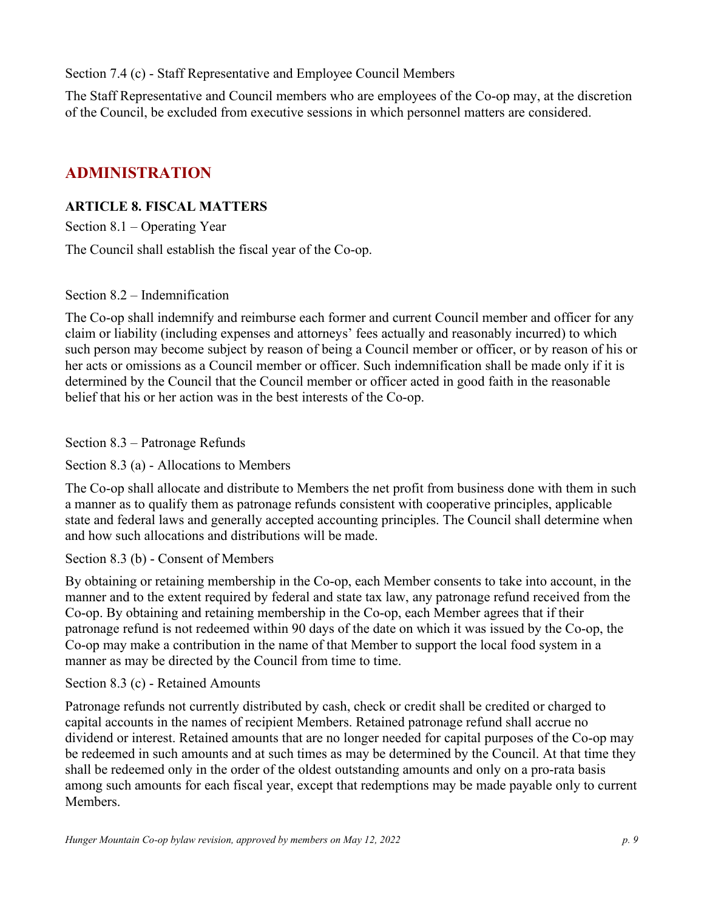Section 7.4 (c) - Staff Representative and Employee Council Members

The Staff Representative and Council members who are employees of the Co-op may, at the discretion of the Council, be excluded from executive sessions in which personnel matters are considered.

# **ADMINISTRATION**

## **ARTICLE 8. FISCAL MATTERS**

Section 8.1 – Operating Year

The Council shall establish the fiscal year of the Co-op.

### Section 8.2 – Indemnification

The Co-op shall indemnify and reimburse each former and current Council member and officer for any claim or liability (including expenses and attorneys' fees actually and reasonably incurred) to which such person may become subject by reason of being a Council member or officer, or by reason of his or her acts or omissions as a Council member or officer. Such indemnification shall be made only if it is determined by the Council that the Council member or officer acted in good faith in the reasonable belief that his or her action was in the best interests of the Co-op.

### Section 8.3 – Patronage Refunds

## Section 8.3 (a) - Allocations to Members

The Co-op shall allocate and distribute to Members the net profit from business done with them in such a manner as to qualify them as patronage refunds consistent with cooperative principles, applicable state and federal laws and generally accepted accounting principles. The Council shall determine when and how such allocations and distributions will be made.

## Section 8.3 (b) - Consent of Members

By obtaining or retaining membership in the Co-op, each Member consents to take into account, in the manner and to the extent required by federal and state tax law, any patronage refund received from the Co-op. By obtaining and retaining membership in the Co-op, each Member agrees that if their patronage refund is not redeemed within 90 days of the date on which it was issued by the Co-op, the Co-op may make a contribution in the name of that Member to support the local food system in a manner as may be directed by the Council from time to time.

## Section 8.3 (c) - Retained Amounts

Patronage refunds not currently distributed by cash, check or credit shall be credited or charged to capital accounts in the names of recipient Members. Retained patronage refund shall accrue no dividend or interest. Retained amounts that are no longer needed for capital purposes of the Co-op may be redeemed in such amounts and at such times as may be determined by the Council. At that time they shall be redeemed only in the order of the oldest outstanding amounts and only on a pro-rata basis among such amounts for each fiscal year, except that redemptions may be made payable only to current Members.